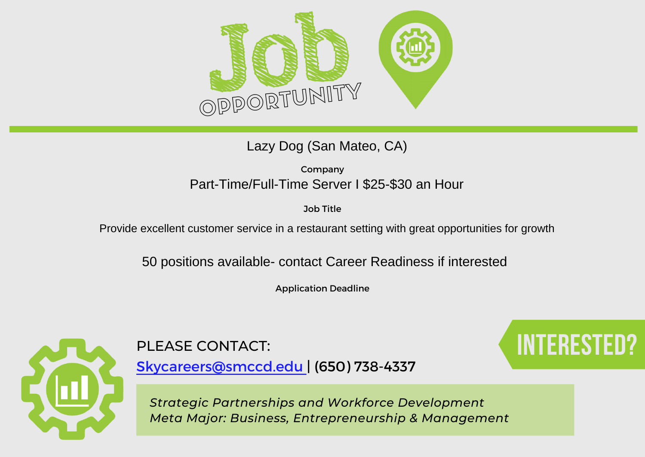

### Lazy Dog (San Mateo, CA)

Company Part-Time/Full-Time Server I \$25-\$30 an Hour

Job Title

Provide excellent customer service in a restaurant setting with great opportunities for growth

50 positions available- contact Career Readiness if interested

Application Deadline



PLEASE CONTACT: **Interested Contact**:

[Skycareers@smccd.edu | \(650\) 738-4337](mailto:skycareers@smccd.edu)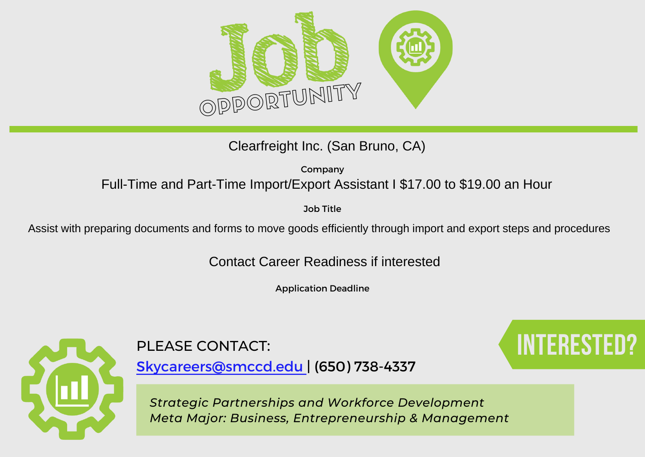

Clearfreight Inc. (San Bruno, CA)

Company Full-Time and Part-Time Import/Export Assistant I \$17.00 to \$19.00 an Hour

Job Title

Assist with preparing documents and forms to move goods efficiently through import and export steps and procedures

Contact Career Readiness if interested

Application Deadline



# PLEASE CONTACT: **Interested Contact**:

[Skycareers@smccd.edu | \(650\) 738-4337](mailto:skycareers@smccd.edu)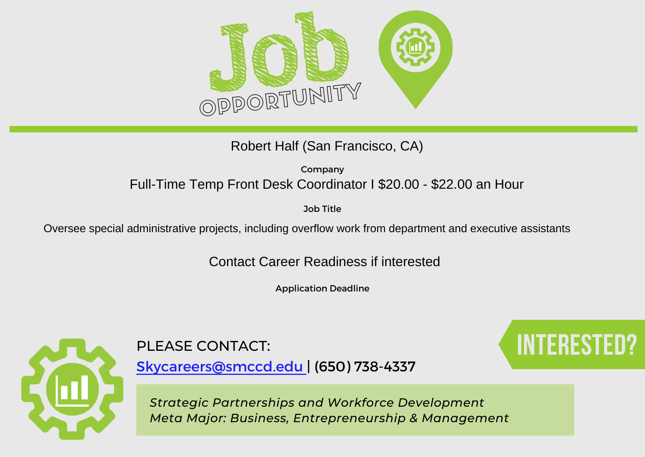

Robert Half (San Francisco, CA)

Company Full-Time Temp Front Desk Coordinator I \$20.00 - \$22.00 an Hour

Job Title

Oversee special administrative projects, including overflow work from department and executive assistants

Contact Career Readiness if interested

Application Deadline



[Skycareers@smccd.edu | \(650\) 738-4337](mailto:skycareers@smccd.edu)

*Strategic Partnerships and Workforce Development Meta Major: Business, Entrepreneurship & Management*

# PLEASE CONTACT: **Interested Contact:**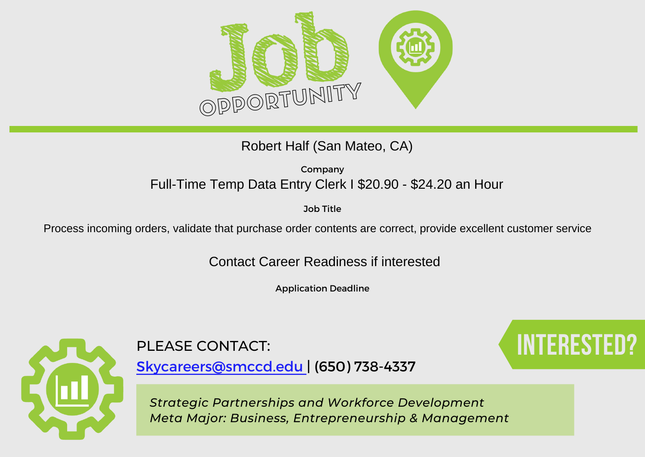

### Robert Half (San Mateo, CA)

Company Full-Time Temp Data Entry Clerk I \$20.90 - \$24.20 an Hour

Job Title

Process incoming orders, validate that purchase order contents are correct, provide excellent customer service

Contact Career Readiness if interested

Application Deadline



[Skycareers@smccd.edu | \(650\) 738-4337](mailto:skycareers@smccd.edu)

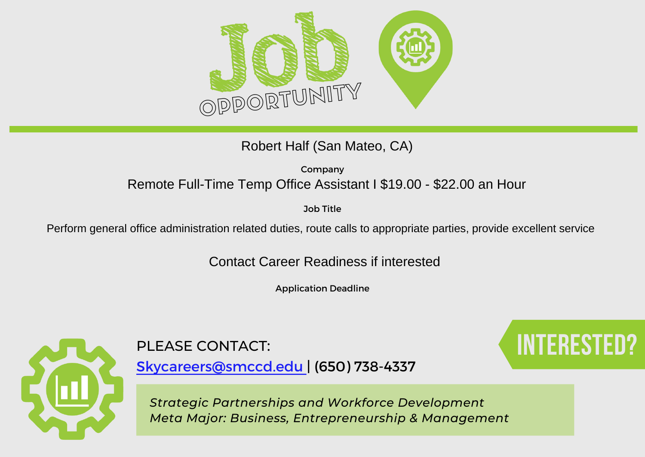

Robert Half (San Mateo, CA)

Company Remote Full-Time Temp Office Assistant I \$19.00 - \$22.00 an Hour

Job Title

Perform general office administration related duties, route calls to appropriate parties, provide excellent service

Contact Career Readiness if interested

Application Deadline



# PLEASE CONTACT: **Interested Contact**:

[Skycareers@smccd.edu | \(650\) 738-4337](mailto:skycareers@smccd.edu)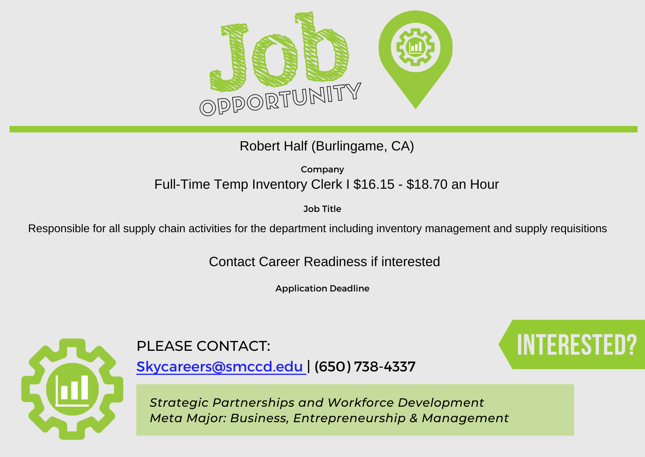

### Robert Half (Burlingame, CA)

Company Full-Time Temp Inventory Clerk I \$16.15 - \$18.70 an Hour

Job Title

Responsible for all supply chain activities for the department including inventory management and supply requisitions

Contact Career Readiness if interested

Application Deadline



[Skycareers@smccd.edu | \(650\) 738-4337](mailto:skycareers@smccd.edu)

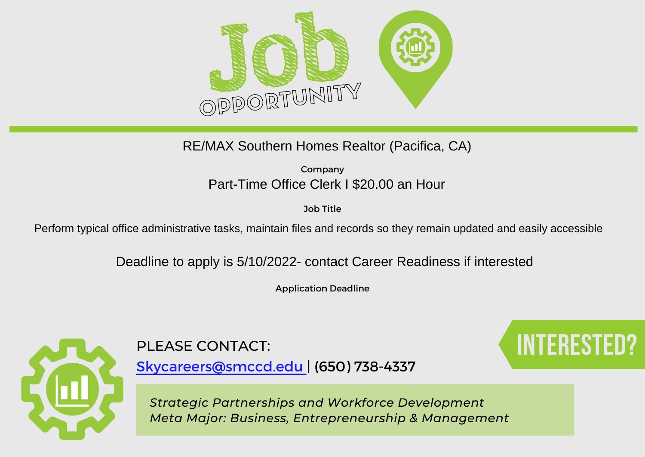

RE/MAX Southern Homes Realtor (Pacifica, CA)

Company Part-Time Office Clerk I \$20.00 an Hour

Job Title

Perform typical office administrative tasks, maintain files and records so they remain updated and easily accessible

Deadline to apply is 5/10/2022- contact Career Readiness if interested

Application Deadline



[Skycareers@smccd.edu | \(650\) 738-4337](mailto:skycareers@smccd.edu)

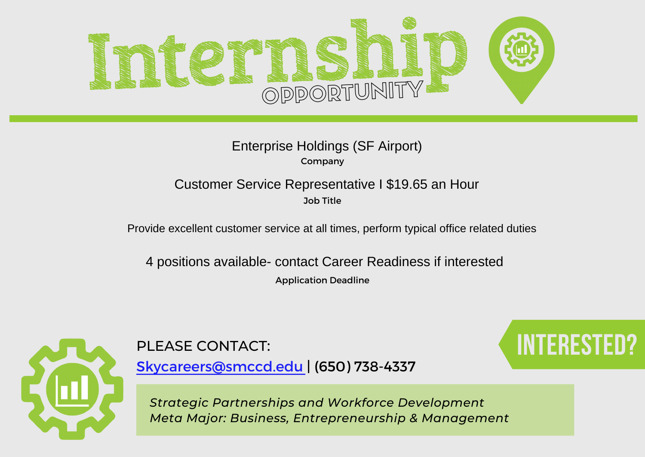

#### Company Enterprise Holdings (SF Airport)

#### Job Title Customer Service Representative I \$19.65 an Hour

Provide excellent customer service at all times, perform typical office related duties

Application Deadline 4 positions available- contact Career Readiness if interested



[Skycareers@smccd.edu | \(650\) 738-4337](mailto:skycareers@smccd.edu)

PLEASE CONTACT: **Interested and Security Contact**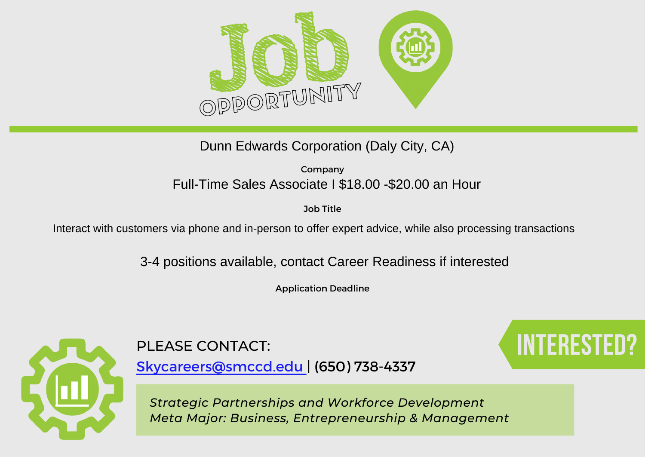

Dunn Edwards Corporation (Daly City, CA)

Company Full-Time Sales Associate I \$18.00 -\$20.00 an Hour

Job Title

Interact with customers via phone and in-person to offer expert advice, while also processing transactions

3-4 positions available, contact Career Readiness if interested

Application Deadline



PLEASE CONTACT: **Interested Contact**:

[Skycareers@smccd.edu | \(650\) 738-4337](mailto:skycareers@smccd.edu)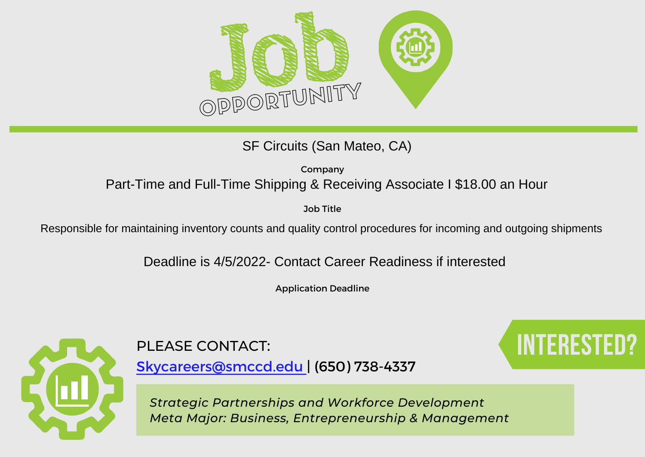

SF Circuits (San Mateo, CA)

Company Part-Time and Full-Time Shipping & Receiving Associate I \$18.00 an Hour

Job Title

Responsible for maintaining inventory counts and quality control procedures for incoming and outgoing shipments

Deadline is 4/5/2022- Contact Career Readiness if interested

Application Deadline



PLEASE CONTACT: **Interested Contact:** 

[Skycareers@smccd.edu | \(650\) 738-4337](mailto:skycareers@smccd.edu)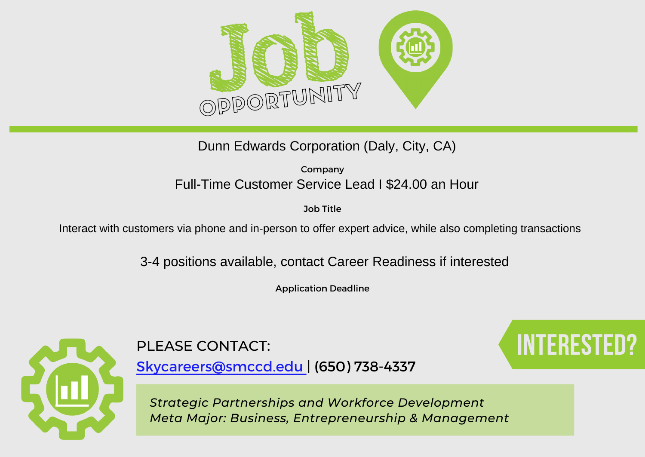

Dunn Edwards Corporation (Daly, City, CA)

Company Full-Time Customer Service Lead I \$24.00 an Hour

Job Title

Interact with customers via phone and in-person to offer expert advice, while also completing transactions

3-4 positions available, contact Career Readiness if interested

Application Deadline



PLEASE CONTACT: **Interested Contact**:

[Skycareers@smccd.edu | \(650\) 738-4337](mailto:skycareers@smccd.edu)